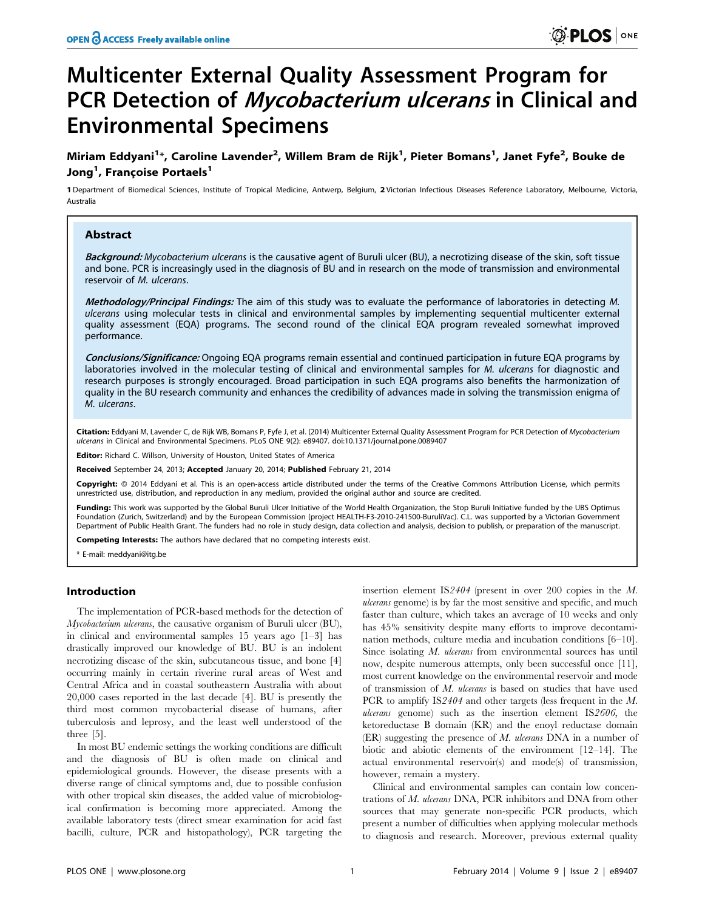# Multicenter External Quality Assessment Program for PCR Detection of Mycobacterium ulcerans in Clinical and Environmental Specimens

Miriam Eddyani<sup>1</sup>\*, Caroline Lavender<sup>2</sup>, Willem Bram de Rijk<sup>1</sup>, Pieter Bomans<sup>1</sup>, Janet Fyfe<sup>2</sup>, Bouke de Jong<sup>1</sup>, Françoise Portaels<sup>1</sup>

1 Department of Biomedical Sciences, Institute of Tropical Medicine, Antwerp, Belgium, 2 Victorian Infectious Diseases Reference Laboratory, Melbourne, Victoria, Australia

## Abstract

Background: Mycobacterium ulcerans is the causative agent of Buruli ulcer (BU), a necrotizing disease of the skin, soft tissue and bone. PCR is increasingly used in the diagnosis of BU and in research on the mode of transmission and environmental reservoir of M. ulcerans.

Methodology/Principal Findings: The aim of this study was to evaluate the performance of laboratories in detecting M. ulcerans using molecular tests in clinical and environmental samples by implementing sequential multicenter external quality assessment (EQA) programs. The second round of the clinical EQA program revealed somewhat improved performance.

Conclusions/Significance: Ongoing EQA programs remain essential and continued participation in future EQA programs by laboratories involved in the molecular testing of clinical and environmental samples for M. ulcerans for diagnostic and research purposes is strongly encouraged. Broad participation in such EQA programs also benefits the harmonization of quality in the BU research community and enhances the credibility of advances made in solving the transmission enigma of M. ulcerans.

Citation: Eddyani M, Lavender C, de Rijk WB, Bomans P, Fyfe J, et al. (2014) Multicenter External Quality Assessment Program for PCR Detection of Mycobacterium ulcerans in Clinical and Environmental Specimens. PLoS ONE 9(2): e89407. doi:10.1371/journal.pone.0089407

Editor: Richard C. Willson, University of Houston, United States of America

Received September 24, 2013; Accepted January 20, 2014; Published February 21, 2014

Copyright: © 2014 Eddyani et al. This is an open-access article distributed under the terms of the [Creative Commons Attribution License,](http://creativecommons.org/licenses/by/4.0/) which permits unrestricted use, distribution, and reproduction in any medium, provided the original author and source are credited.

**Funding:** This work was supported by the Global Buruli Ulcer Initiative of the World Health Organization, the Stop Buruli Initiative funded by the UBS Optimus<br>Foundation (Zurich, Switzerland) and by the European Commissio Department of Public Health Grant. The funders had no role in study design, data collection and analysis, decision to publish, or preparation of the manuscript.

Competing Interests: The authors have declared that no competing interests exist.

\* E-mail: meddyani@itg.be

## Introduction

The implementation of PCR-based methods for the detection of Mycobacterium ulcerans, the causative organism of Buruli ulcer (BU), in clinical and environmental samples 15 years ago [1–3] has drastically improved our knowledge of BU. BU is an indolent necrotizing disease of the skin, subcutaneous tissue, and bone [4] occurring mainly in certain riverine rural areas of West and Central Africa and in coastal southeastern Australia with about 20,000 cases reported in the last decade [4]. BU is presently the third most common mycobacterial disease of humans, after tuberculosis and leprosy, and the least well understood of the three [5].

In most BU endemic settings the working conditions are difficult and the diagnosis of BU is often made on clinical and epidemiological grounds. However, the disease presents with a diverse range of clinical symptoms and, due to possible confusion with other tropical skin diseases, the added value of microbiological confirmation is becoming more appreciated. Among the available laboratory tests (direct smear examination for acid fast bacilli, culture, PCR and histopathology), PCR targeting the

insertion element IS2404 (present in over 200 copies in the M. ulcerans genome) is by far the most sensitive and specific, and much faster than culture, which takes an average of 10 weeks and only has 45% sensitivity despite many efforts to improve decontamination methods, culture media and incubation conditions [6–10]. Since isolating M. ulcerans from environmental sources has until now, despite numerous attempts, only been successful once [11], most current knowledge on the environmental reservoir and mode of transmission of M. ulcerans is based on studies that have used PCR to amplify IS2404 and other targets (less frequent in the M. ulcerans genome) such as the insertion element IS2606, the ketoreductase B domain (KR) and the enoyl reductase domain (ER) suggesting the presence of M. ulcerans DNA in a number of biotic and abiotic elements of the environment [12–14]. The actual environmental reservoir(s) and mode(s) of transmission, however, remain a mystery.

Clinical and environmental samples can contain low concentrations of M. ulcerans DNA, PCR inhibitors and DNA from other sources that may generate non-specific PCR products, which present a number of difficulties when applying molecular methods to diagnosis and research. Moreover, previous external quality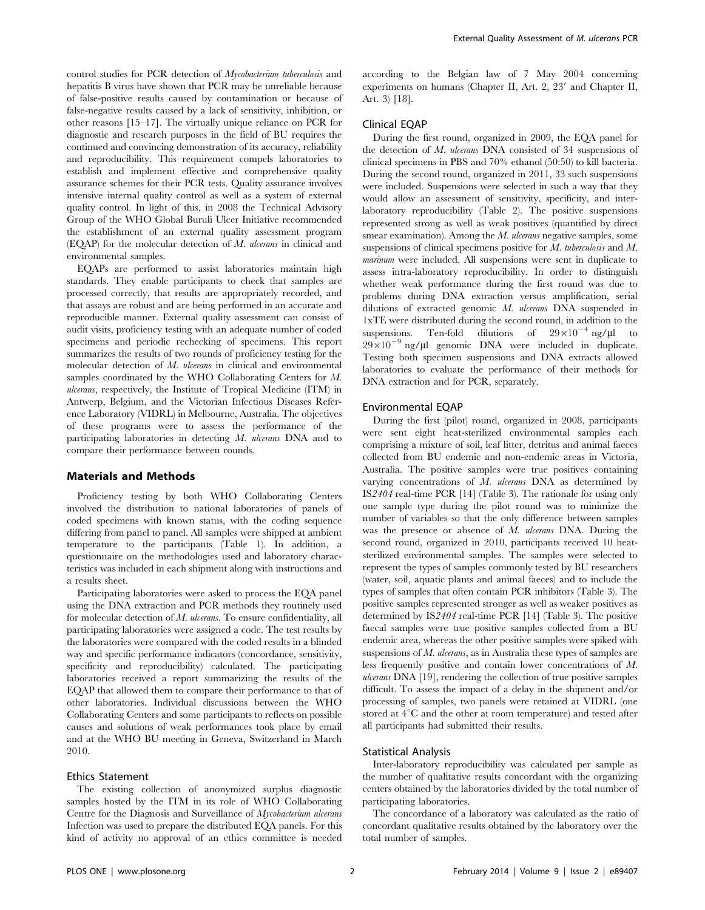control studies for PCR detection of Mycobacterium tuberculosis and hepatitis B virus have shown that PCR may be unreliable because of false-positive results caused by contamination or because of false-negative results caused by a lack of sensitivity, inhibition, or other reasons [15–17]. The virtually unique reliance on PCR for diagnostic and research purposes in the field of BU requires the continued and convincing demonstration of its accuracy, reliability and reproducibility. This requirement compels laboratories to establish and implement effective and comprehensive quality assurance schemes for their PCR tests. Quality assurance involves intensive internal quality control as well as a system of external quality control. In light of this, in 2008 the Technical Advisory Group of the WHO Global Buruli Ulcer Initiative recommended the establishment of an external quality assessment program (EQAP) for the molecular detection of M. ulcerans in clinical and environmental samples.

EQAPs are performed to assist laboratories maintain high standards. They enable participants to check that samples are processed correctly, that results are appropriately recorded, and that assays are robust and are being performed in an accurate and reproducible manner. External quality assessment can consist of audit visits, proficiency testing with an adequate number of coded specimens and periodic rechecking of specimens. This report summarizes the results of two rounds of proficiency testing for the molecular detection of M. *ulcerans* in clinical and environmental samples coordinated by the WHO Collaborating Centers for M. ulcerans, respectively, the Institute of Tropical Medicine (ITM) in Antwerp, Belgium, and the Victorian Infectious Diseases Reference Laboratory (VIDRL) in Melbourne, Australia. The objectives of these programs were to assess the performance of the participating laboratories in detecting M. ulcerans DNA and to compare their performance between rounds.

#### Materials and Methods

Proficiency testing by both WHO Collaborating Centers involved the distribution to national laboratories of panels of coded specimens with known status, with the coding sequence differing from panel to panel. All samples were shipped at ambient temperature to the participants (Table 1). In addition, a questionnaire on the methodologies used and laboratory characteristics was included in each shipment along with instructions and a results sheet.

Participating laboratories were asked to process the EQA panel using the DNA extraction and PCR methods they routinely used for molecular detection of M. ulcerans. To ensure confidentiality, all participating laboratories were assigned a code. The test results by the laboratories were compared with the coded results in a blinded way and specific performance indicators (concordance, sensitivity, specificity and reproducibility) calculated. The participating laboratories received a report summarizing the results of the EQAP that allowed them to compare their performance to that of other laboratories. Individual discussions between the WHO Collaborating Centers and some participants to reflects on possible causes and solutions of weak performances took place by email and at the WHO BU meeting in Geneva, Switzerland in March 2010.

## Ethics Statement

The existing collection of anonymized surplus diagnostic samples hosted by the ITM in its role of WHO Collaborating Centre for the Diagnosis and Surveillance of Mycobacterium ulcerans Infection was used to prepare the distributed EQA panels. For this kind of activity no approval of an ethics committee is needed according to the Belgian law of 7 May 2004 concerning experiments on humans (Chapter II, Art. 2,  $23'$  and Chapter II, Art. 3) [18].

## Clinical EQAP

During the first round, organized in 2009, the EQA panel for the detection of M. ulcerans DNA consisted of 34 suspensions of clinical specimens in PBS and 70% ethanol (50:50) to kill bacteria. During the second round, organized in 2011, 33 such suspensions were included. Suspensions were selected in such a way that they would allow an assessment of sensitivity, specificity, and interlaboratory reproducibility (Table 2). The positive suspensions represented strong as well as weak positives (quantified by direct smear examination). Among the *M. ulcerans* negative samples, some suspensions of clinical specimens positive for M. tuberculosis and M. marinum were included. All suspensions were sent in duplicate to assess intra-laboratory reproducibility. In order to distinguish whether weak performance during the first round was due to problems during DNA extraction versus amplification, serial dilutions of extracted genomic M. ulcerans DNA suspended in 1xTE were distributed during the second round, in addition to the suspensions. Ten-fold dilutions of  $29 \times 10^{-4}$  ng/ $\mu$ l to  $29 \times 10^{-9}$  ng/ $\mu$ l genomic DNA were included in duplicate. Testing both specimen suspensions and DNA extracts allowed laboratories to evaluate the performance of their methods for DNA extraction and for PCR, separately.

### Environmental EQAP

During the first (pilot) round, organized in 2008, participants were sent eight heat-sterilized environmental samples each comprising a mixture of soil, leaf litter, detritus and animal faeces collected from BU endemic and non-endemic areas in Victoria, Australia. The positive samples were true positives containing varying concentrations of M. ulcerans DNA as determined by IS2404 real-time PCR [14] (Table 3). The rationale for using only one sample type during the pilot round was to minimize the number of variables so that the only difference between samples was the presence or absence of M. ulcerans DNA. During the second round, organized in 2010, participants received 10 heatsterilized environmental samples. The samples were selected to represent the types of samples commonly tested by BU researchers (water, soil, aquatic plants and animal faeces) and to include the types of samples that often contain PCR inhibitors (Table 3). The positive samples represented stronger as well as weaker positives as determined by IS2404 real-time PCR [14] (Table 3). The positive faecal samples were true positive samples collected from a BU endemic area, whereas the other positive samples were spiked with suspensions of M. ulcerans, as in Australia these types of samples are less frequently positive and contain lower concentrations of M. ulcerans DNA [19], rendering the collection of true positive samples difficult. To assess the impact of a delay in the shipment and/or processing of samples, two panels were retained at VIDRL (one stored at  $4^{\circ}$ C and the other at room temperature) and tested after all participants had submitted their results.

## Statistical Analysis

Inter-laboratory reproducibility was calculated per sample as the number of qualitative results concordant with the organizing centers obtained by the laboratories divided by the total number of participating laboratories.

The concordance of a laboratory was calculated as the ratio of concordant qualitative results obtained by the laboratory over the total number of samples.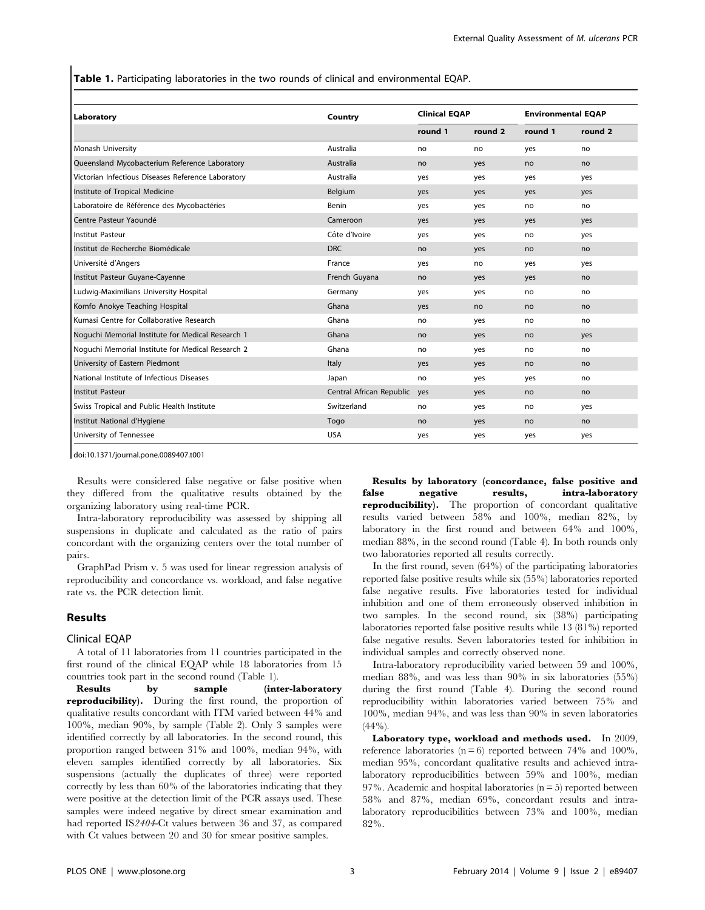Table 1. Participating laboratories in the two rounds of clinical and environmental EQAP.

| Laboratory                                         | Country                  | <b>Clinical EQAP</b> |         | <b>Environmental EQAP</b> |                    |
|----------------------------------------------------|--------------------------|----------------------|---------|---------------------------|--------------------|
|                                                    |                          | round 1              | round 2 | round 1                   | round <sub>2</sub> |
| Monash University                                  | Australia                | no                   | no      | yes                       | no                 |
| Queensland Mycobacterium Reference Laboratory      | Australia                | no                   | yes     | no                        | no                 |
| Victorian Infectious Diseases Reference Laboratory | Australia                | yes                  | yes     | yes                       | yes                |
| Institute of Tropical Medicine                     | Belgium                  | yes                  | yes     | yes                       | yes                |
| Laboratoire de Référence des Mycobactéries         | Benin                    | yes                  | yes     | no                        | no                 |
| Centre Pasteur Yaoundé                             | Cameroon                 | yes                  | yes     | yes                       | yes                |
| <b>Institut Pasteur</b>                            | Côte d'Ivoire            | yes                  | yes     | no                        | yes                |
| Institut de Recherche Biomédicale                  | <b>DRC</b>               | no                   | yes     | no                        | no                 |
| Université d'Angers                                | France                   | yes                  | no      | yes                       | yes                |
| Institut Pasteur Guyane-Cayenne                    | French Guyana            | no                   | yes     | yes                       | no                 |
| Ludwig-Maximilians University Hospital             | Germany                  | yes                  | yes     | no                        | no                 |
| Komfo Anokye Teaching Hospital                     | Ghana                    | yes                  | no      | no                        | no                 |
| Kumasi Centre for Collaborative Research           | Ghana                    | no                   | yes     | no                        | no                 |
| Noguchi Memorial Institute for Medical Research 1  | Ghana                    | no                   | yes     | no                        | yes                |
| Noquchi Memorial Institute for Medical Research 2  | Ghana                    | no                   | yes     | no                        | no                 |
| University of Eastern Piedmont                     | Italy                    | yes                  | yes     | no                        | no                 |
| National Institute of Infectious Diseases          | Japan                    | no                   | yes     | yes                       | no                 |
| <b>Institut Pasteur</b>                            | Central African Republic | yes                  | yes     | no                        | no                 |
| Swiss Tropical and Public Health Institute         | Switzerland              | no                   | yes     | no                        | yes                |
| Institut National d'Hygiene                        | Togo                     | no                   | yes     | no                        | no                 |
| University of Tennessee                            | <b>USA</b>               | yes                  | yes     | yes                       | yes                |

doi:10.1371/journal.pone.0089407.t001

Results were considered false negative or false positive when they differed from the qualitative results obtained by the organizing laboratory using real-time PCR.

Intra-laboratory reproducibility was assessed by shipping all suspensions in duplicate and calculated as the ratio of pairs concordant with the organizing centers over the total number of pairs.

GraphPad Prism v. 5 was used for linear regression analysis of reproducibility and concordance vs. workload, and false negative rate vs. the PCR detection limit.

#### Results

#### Clinical EQAP

A total of 11 laboratories from 11 countries participated in the first round of the clinical EQAP while 18 laboratories from 15 countries took part in the second round (Table 1).

Results by sample (inter-laboratory reproducibility). During the first round, the proportion of qualitative results concordant with ITM varied between 44% and 100%, median 90%, by sample (Table 2). Only 3 samples were identified correctly by all laboratories. In the second round, this proportion ranged between 31% and 100%, median 94%, with eleven samples identified correctly by all laboratories. Six suspensions (actually the duplicates of three) were reported correctly by less than 60% of the laboratories indicating that they were positive at the detection limit of the PCR assays used. These samples were indeed negative by direct smear examination and had reported IS2404-Ct values between 36 and 37, as compared with Ct values between 20 and 30 for smear positive samples.

Results by laboratory (concordance, false positive and false negative results, intra-laboratory reproducibility). The proportion of concordant qualitative results varied between 58% and 100%, median 82%, by laboratory in the first round and between 64% and 100%, median 88%, in the second round (Table 4). In both rounds only two laboratories reported all results correctly.

In the first round, seven (64%) of the participating laboratories reported false positive results while six (55%) laboratories reported false negative results. Five laboratories tested for individual inhibition and one of them erroneously observed inhibition in two samples. In the second round, six (38%) participating laboratories reported false positive results while 13 (81%) reported false negative results. Seven laboratories tested for inhibition in individual samples and correctly observed none.

Intra-laboratory reproducibility varied between 59 and 100%, median 88%, and was less than 90% in six laboratories (55%) during the first round (Table 4). During the second round reproducibility within laboratories varied between 75% and 100%, median 94%, and was less than 90% in seven laboratories  $(44\%)$ .

Laboratory type, workload and methods used. In 2009, reference laboratories ( $n = 6$ ) reported between 74% and 100%, median 95%, concordant qualitative results and achieved intralaboratory reproducibilities between 59% and 100%, median 97%. Academic and hospital laboratories ( $n = 5$ ) reported between 58% and 87%, median 69%, concordant results and intralaboratory reproducibilities between 73% and 100%, median 82%.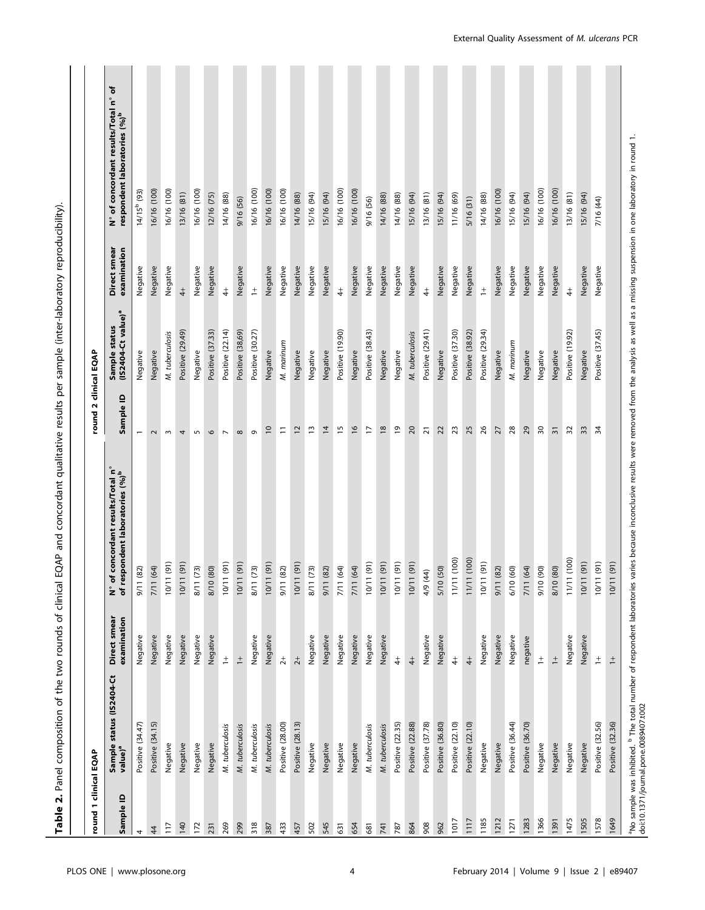| 1 dinical EQAP<br>≘<br>Sample<br>round<br>117<br>$\overline{4}$<br>4 |                                                 |                  |                                                                                                                                                                                                                                                             |                          |                                                 |              |                                           |
|----------------------------------------------------------------------|-------------------------------------------------|------------------|-------------------------------------------------------------------------------------------------------------------------------------------------------------------------------------------------------------------------------------------------------------|--------------------------|-------------------------------------------------|--------------|-------------------------------------------|
|                                                                      |                                                 | Direct smear     |                                                                                                                                                                                                                                                             | round                    | 2 clinical EQAP                                 | Direct smear | ৳<br>ໍະ<br>N° of concordant results/Total |
|                                                                      | Sample status (IS2404-Ct<br>value) <sup>a</sup> | examination      | N° of concordant results/Total n°<br>of respondent laboratories (%) <sup>b</sup>                                                                                                                                                                            | $\mathbf{a}$<br>Sample   | Sample status<br>(IS2404-Ct value) <sup>a</sup> | examination  | respondent laboratories (%) <sup>b</sup>  |
|                                                                      | Positive (34.47)                                | Negative         | $(82)$<br>5/11                                                                                                                                                                                                                                              |                          | Negative                                        | Negative     | 14/15 <sup>b</sup> (93)                   |
|                                                                      | Positive (34.15)                                | Negative         | (64)<br>7/11                                                                                                                                                                                                                                                | $\sim$                   | Negative                                        | Negative     | 16/16 (100)                               |
|                                                                      | Negative                                        | Negative         | $\widehat{(\mathbf{g})}$<br>10/11                                                                                                                                                                                                                           | $\sim$                   | M. tuberculosis                                 | Negative     | 16/16 (100)                               |
| 140                                                                  | Negative                                        | Negative         | (91)<br>10/11                                                                                                                                                                                                                                               | 4                        | Positive (29.49)                                | $\ddot{+}$   | 13/16 (81)                                |
| 172                                                                  | Negative                                        | Negative         | $(73)$<br>$\frac{1}{2}$                                                                                                                                                                                                                                     | $\sqrt{2}$               | Negative                                        | Negative     | 16/16 (100)                               |
| 231                                                                  | Negative                                        | Negative         | $^{(80)}$<br>8/10                                                                                                                                                                                                                                           | $\circ$                  | Positive (37.33)                                | Negative     | 12/16 (75)                                |
| 269                                                                  | M. tuberculosis                                 | $\ddot{=}$       | (91)<br>10/11                                                                                                                                                                                                                                               | $\overline{\phantom{a}}$ | Positive (22.14)                                | $\ddagger$   | 14/16 (88)                                |
| 299                                                                  | M. tuberculosis                                 | $\ddot{=}$       | (91)<br>10/11                                                                                                                                                                                                                                               | $\infty$                 | Positive (38,69)                                | Negative     | 9/16 (56)                                 |
| 318                                                                  | M. tuberculosis                                 | Negative         | (73)<br>8/11                                                                                                                                                                                                                                                | $\sigma$                 | Positive (30.27)                                | $\ddot{+}$   | 16/16 (100)                               |
| 387                                                                  | M. tuberculosis                                 | Negative         | (91)<br>10/11                                                                                                                                                                                                                                               | $\overline{c}$           | Negative                                        | Negative     | 16/16 (100)                               |
| 433                                                                  | Positive (28.00)                                | $\overline{2}$   | $(82)$<br>5/11                                                                                                                                                                                                                                              | $\Xi$                    | M. marinum                                      | Negative     | 16/16 (100)                               |
| 457                                                                  | Positive (28.13)                                | $\overline{2}$   | (91)<br>10/11                                                                                                                                                                                                                                               | $\overline{c}$           | Negative                                        | Negative     | 14/16 (88)                                |
| 502                                                                  | Negative                                        | Negative         | $(73)$<br>8/11                                                                                                                                                                                                                                              | $\overline{1}$           | Negative                                        | Negative     | 15/16 (94)                                |
| 545                                                                  | Negative                                        | Negative         | $(82)$<br>9/11                                                                                                                                                                                                                                              | $\overline{4}$           | Negative                                        | Negative     | 15/16 (94)                                |
| 631                                                                  | Negative                                        | Negative         | (64)<br>7/11                                                                                                                                                                                                                                                | $\overline{5}$           | Positive (19.90)                                | $\ddagger$   | 16/16 (100)                               |
| 654                                                                  | Negative                                        | Negative         | (64)<br>7/11                                                                                                                                                                                                                                                | $\frac{6}{2}$            | Negative                                        | Negative     | 16/16 (100)                               |
| 681                                                                  | M. tuberculosis                                 | Negative         | (91)<br>10/11                                                                                                                                                                                                                                               | F                        | Positive (38.43)                                | Negative     | 9/16 (56)                                 |
| 741                                                                  | M. tuberculosis                                 | Negative         | (91)<br>10/11                                                                                                                                                                                                                                               | $\overline{8}$           | Negative                                        | Negative     | 14/16 (88)                                |
| 787                                                                  | Positive (22.35)                                | $\ddot{ }$       | (91)<br>10/11                                                                                                                                                                                                                                               | $\overline{5}$           | Negative                                        | Negative     | 14/16 (88)                                |
| 864                                                                  | Positive (22.88)                                | $rac{1}{4}$      | (91)<br>10/11                                                                                                                                                                                                                                               | $\overline{20}$          | M. tuberculosis                                 | Negative     | 15/16 (94)                                |
| 908                                                                  | Positive (37.78)                                | Negative         | 4/9 (44)                                                                                                                                                                                                                                                    | $\overline{2}$           | Positive (29.41)                                | $\ddagger$   | 13/16 (81)                                |
| 962                                                                  | Positive (36.80)                                | Negative         | (50)<br>5/10                                                                                                                                                                                                                                                | 22                       | Negative                                        | Negative     | 15/16 (94)                                |
| 1017                                                                 | Positive (22.10)                                | $\ddot{ }$       | (100)<br>11/11                                                                                                                                                                                                                                              | 23                       | Positive (37.30)                                | Negative     | 11/16 (69)                                |
| 1117                                                                 | Positive (22.10)                                | $rac{+}{4}$      | (100)<br>11/11                                                                                                                                                                                                                                              | 25                       | Positive (38.92)                                | Negative     | 5/16 (31)                                 |
| 1185                                                                 | Negative                                        | Negative         | (91)<br>10/11                                                                                                                                                                                                                                               | $\frac{8}{5}$            | Positive (29.34)                                | $\pm$        | 14/16 (88)                                |
| 1212                                                                 | Negative                                        | Negative         | $(82)$<br>9/11                                                                                                                                                                                                                                              | 27                       | Negative                                        | Negative     | 16/16 (100)                               |
| 1271                                                                 | Positive (36.44)                                | Negative         | $\circledS$<br>6/10                                                                                                                                                                                                                                         | 28                       | M. marinum                                      | Negative     | 15/16 (94)                                |
| 1283                                                                 | Positive (36.70)                                | negative         | (64)<br>7/11                                                                                                                                                                                                                                                | 29                       | Negative                                        | Negative     | 15/16 (94)                                |
| 1366                                                                 | Negative                                        | $\overset{+}{-}$ | (90)<br>9/10                                                                                                                                                                                                                                                | 50                       | Negative                                        | Negative     | 16/16 (100)                               |
| 1391                                                                 | Negative                                        | $\frac{+}{-}$    | $^{(80)}$<br>8/10                                                                                                                                                                                                                                           | $\overline{3}$           | Negative                                        | Negative     | 16/16 (100)                               |
| 1475                                                                 | Negative                                        | Negative         | (100)<br>11/11                                                                                                                                                                                                                                              | $\overline{32}$          | Positive (19.92)                                | $\ddagger$   | 13/16 (81)                                |
| 1505                                                                 | Negative                                        | Negative         | (91)<br>10/11                                                                                                                                                                                                                                               | ဘ                        | Negative                                        | Negative     | 15/16 (94)                                |
| 1578                                                                 | Positive (32.56)                                | $\ddagger$       | (91)<br>10/11                                                                                                                                                                                                                                               | 34                       | Positive (37.45)                                | Negative     | 7/16 (44)                                 |
| 1649                                                                 | Positive (32.36)                                | $\frac{+}{-}$    | "No sample was inhibited. <sup>b</sup> The total number of respondent laboratories varies because inconclusive results were removed from the analysis as well as a missing suspension in one laboratory in round 1.<br>doi:10.1371/journal<br>(91)<br>10/11 |                          |                                                 |              |                                           |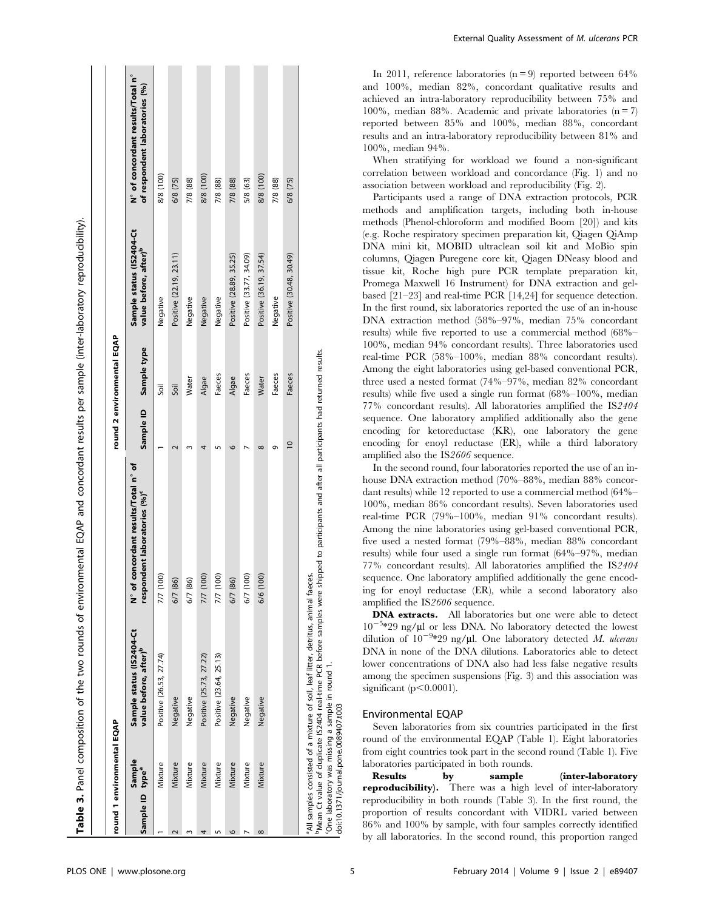| 8/8 (100)<br>8/8 (100)<br>8/8 (100)<br>6/8 (75)<br>7/8 (88)<br>7/8 (88)<br>7/8 (88)<br>7/8 (88)<br>5/8 (63)<br>6/8 (75)<br>Sample status (IS2404-Ct<br>value before, after) <sup>b</sup><br>Positive (22.19, 23.11)<br>Positive (28.89, 35.25)<br>Positive (33.77, 34.09)<br>Positive (36.19, 37.54)<br>Positive (30.48, 30.49)<br>Negative<br>Negative<br>Negative<br>Negative<br>Negative<br>Sample type<br>Faeces<br>Faeces<br>Faeces<br>Faeces<br>Algae<br>Algae<br>Water<br>Water<br>Soil<br>Soil<br>Sample ID<br>$\subseteq$<br>c<br>$^{\circ}$<br>σ<br>N° of concordant results/Total n° of<br>respondent laboratories (%) <sup>c</sup><br>7/7 (100)<br>7/7 (100)<br>7/7 (100)<br>6/7 (100)<br>6/6 (100)<br>6/7 (86)<br>6/7 (86)<br>6/7 (86)<br>Sample status (IS2404-Ct<br>value before, after) <sup>b</sup><br>Positive (25.73, 27.22)<br>Positive (23.64, 25.13)<br>Positive (26.53, 27.74)<br>Negative<br>Negative<br>Negative<br>Negative<br>Negative<br>Sample<br>Mixture<br>Mixture<br>Mixture<br>Mixture<br>Mixture<br>Mixture<br>Mixture<br>Mixture<br>Sample ID type <sup>a</sup><br>$\infty$ | round 1 environmental EQAP |  | round 2 environmental EQAP |                                                                     |
|----------------------------------------------------------------------------------------------------------------------------------------------------------------------------------------------------------------------------------------------------------------------------------------------------------------------------------------------------------------------------------------------------------------------------------------------------------------------------------------------------------------------------------------------------------------------------------------------------------------------------------------------------------------------------------------------------------------------------------------------------------------------------------------------------------------------------------------------------------------------------------------------------------------------------------------------------------------------------------------------------------------------------------------------------------------------------------------------------------------|----------------------------|--|----------------------------|---------------------------------------------------------------------|
|                                                                                                                                                                                                                                                                                                                                                                                                                                                                                                                                                                                                                                                                                                                                                                                                                                                                                                                                                                                                                                                                                                                |                            |  |                            | N° of concordant results/Total n°<br>of respondent laboratories (%) |
|                                                                                                                                                                                                                                                                                                                                                                                                                                                                                                                                                                                                                                                                                                                                                                                                                                                                                                                                                                                                                                                                                                                |                            |  |                            |                                                                     |
|                                                                                                                                                                                                                                                                                                                                                                                                                                                                                                                                                                                                                                                                                                                                                                                                                                                                                                                                                                                                                                                                                                                |                            |  |                            |                                                                     |
|                                                                                                                                                                                                                                                                                                                                                                                                                                                                                                                                                                                                                                                                                                                                                                                                                                                                                                                                                                                                                                                                                                                |                            |  |                            |                                                                     |
|                                                                                                                                                                                                                                                                                                                                                                                                                                                                                                                                                                                                                                                                                                                                                                                                                                                                                                                                                                                                                                                                                                                |                            |  |                            |                                                                     |
|                                                                                                                                                                                                                                                                                                                                                                                                                                                                                                                                                                                                                                                                                                                                                                                                                                                                                                                                                                                                                                                                                                                |                            |  |                            |                                                                     |
|                                                                                                                                                                                                                                                                                                                                                                                                                                                                                                                                                                                                                                                                                                                                                                                                                                                                                                                                                                                                                                                                                                                |                            |  |                            |                                                                     |
|                                                                                                                                                                                                                                                                                                                                                                                                                                                                                                                                                                                                                                                                                                                                                                                                                                                                                                                                                                                                                                                                                                                |                            |  |                            |                                                                     |
|                                                                                                                                                                                                                                                                                                                                                                                                                                                                                                                                                                                                                                                                                                                                                                                                                                                                                                                                                                                                                                                                                                                |                            |  |                            |                                                                     |
|                                                                                                                                                                                                                                                                                                                                                                                                                                                                                                                                                                                                                                                                                                                                                                                                                                                                                                                                                                                                                                                                                                                |                            |  |                            |                                                                     |
|                                                                                                                                                                                                                                                                                                                                                                                                                                                                                                                                                                                                                                                                                                                                                                                                                                                                                                                                                                                                                                                                                                                |                            |  |                            |                                                                     |

cOne laboratory was missing a sample in round 1. 'One laboratory was missing a sample in round<br>doi:10.1371/journal.pone.0089407.t003 doi:10.1371/journal.pone.0089407.t003

In 2011, reference laboratories  $(n=9)$  reported between 64% and 100%, median 82%, concordant qualitative results and achieved an intra-laboratory reproducibility between 75% and 100%, median 88%. Academic and private laboratories  $(n = 7)$ reported between 85% and 100%, median 88%, concordant results and an intra-laboratory reproducibility between 81% and 100%, median 94%.

When stratifying for workload we found a non-significant correlation between workload and concordance (Fig. 1) and no association between workload and reproducibility (Fig. 2).

Participants used a range of DNA extraction protocols, PCR methods and amplification targets, including both in-house methods (Phenol-chloroform and modified Boom [20]) and kits (e.g. Roche respiratory specimen preparation kit, Qiagen QiAmp DNA mini kit, MOBID ultraclean soil kit and MoBio spin columns, Qiagen Puregene core kit, Qiagen DNeasy blood and tissue kit, Roche high pure PCR template preparation kit, Promega Maxwell 16 Instrument) for DNA extraction and gelbased [21–23] and real-time PCR [14,24] for sequence detection. In the first round, six laboratories reported the use of an in-house DNA extraction method (58%–97%, median 75% concordant results) while five reported to use a commercial method (68%– 100%, median 94% concordant results). Three laboratories used real-time PCR (58%–100%, median 88% concordant results). Among the eight laboratories using gel-based conventional PCR, three used a nested format (74%–97%, median 82% concordant results) while five used a single run format (68%–100%, median 77% concordant results). All laboratories amplified the IS2404 sequence. One laboratory amplified additionally also the gene encoding for ketoreductase (KR), one laboratory the gene encoding for enoyl reductase (ER), while a third laboratory amplified also the IS2606 sequence.

In the second round, four laboratories reported the use of an inhouse DNA extraction method (70%–88%, median 88% concordant results) while 12 reported to use a commercial method (64%– 100%, median 86% concordant results). Seven laboratories used real-time PCR (79%–100%, median 91% concordant results). Among the nine laboratories using gel-based conventional PCR, five used a nested format (79%–88%, median 88% concordant results) while four used a single run format (64%–97%, median 77% concordant results). All laboratories amplified the IS2404 sequence. One laboratory amplified additionally the gene encoding for enoyl reductase (ER), while a second laboratory also amplified the IS2606 sequence.

DNA extracts. All laboratories but one were able to detect  $10^{-5}$ \*29 ng/ $\mu$ l or less DNA. No laboratory detected the lowest dilution of  $10^{-9}$ \*29 ng/µl. One laboratory detected M. ulcerans DNA in none of the DNA dilutions. Laboratories able to detect lower concentrations of DNA also had less false negative results among the specimen suspensions (Fig. 3) and this association was significant  $(p<0.0001)$ .

## Environmental EQAP

Seven laboratories from six countries participated in the first round of the environmental EQAP (Table 1). Eight laboratories from eight countries took part in the second round (Table 1). Five laboratories participated in both rounds.

Results by sample (inter-laboratory reproducibility). There was a high level of inter-laboratory reproducibility in both rounds (Table 3). In the first round, the proportion of results concordant with VIDRL varied between 86% and 100% by sample, with four samples correctly identified by all laboratories. In the second round, this proportion ranged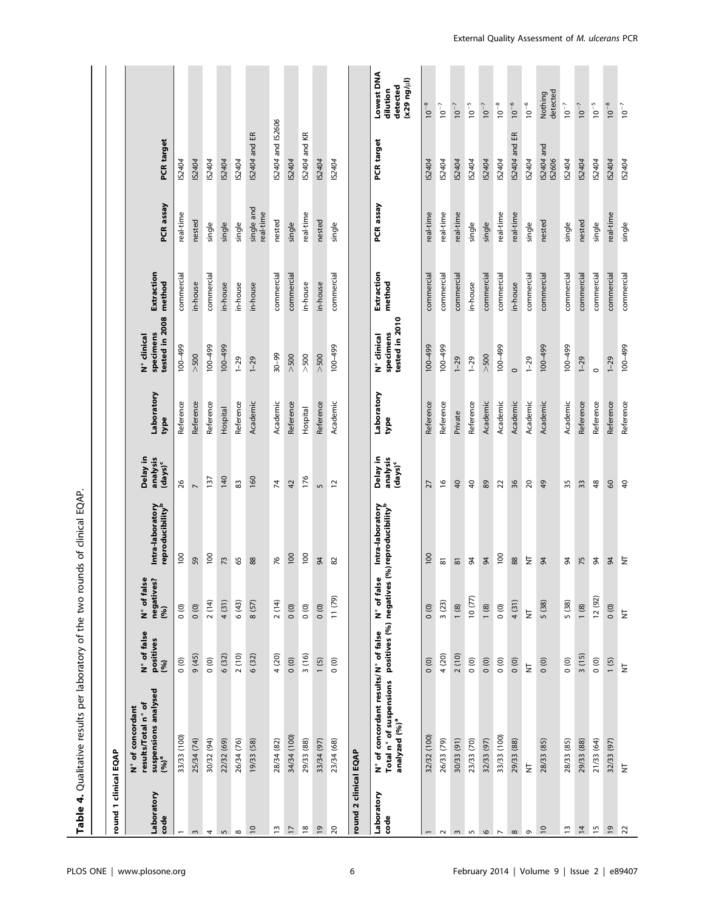| round 1 clinical EQAP    |                                                                                  |                                  |                                   |                                                      |                                           |                    |                                            |                      |                         |                      |                                                    |
|--------------------------|----------------------------------------------------------------------------------|----------------------------------|-----------------------------------|------------------------------------------------------|-------------------------------------------|--------------------|--------------------------------------------|----------------------|-------------------------|----------------------|----------------------------------------------------|
| Laboratory<br>code       | suspensions analysed<br>results/Total n° of<br>N° of concordant<br>$(96)^a$      | N° of false<br>positives<br>(96) | N° of false<br>negatives?<br>(96) | Intra-laboratory<br>reproducibility <sup>b</sup>     | Delay in<br>analysis<br>$(days)^c$        | Laboratory<br>type | tested in 2008<br>specimens<br>N° clinical | Extraction<br>method | PCR assay               | <b>PCR</b> target    |                                                    |
|                          | 33/33 (100)                                                                      | $\circ$                          | $\overline{0}$                    | 100                                                  | 26                                        | Reference          | 100-499                                    | commercial           | real-time               | IS2404               |                                                    |
| $\sim$                   | 25/34 (74)                                                                       | 9 (45)                           | $\circ$                           | 59                                                   | $\overline{ }$                            | Reference          | >500                                       | in-house             | nested                  | IS2404               |                                                    |
| 4                        | 30/32 (94)                                                                       | $\overline{0}$                   | 2(14)                             | 100                                                  | 137                                       | Reference          | $664 - 001$                                | commercial           | single                  | IS2404               |                                                    |
| 5                        | 22/32 (69)                                                                       | 6 (32)                           | 4 (31)                            | 73                                                   | 140                                       | Hospital           | $100 - 499$                                | in-house             | single                  | IS2404               |                                                    |
| $\infty$                 | 26/34 (76)                                                                       | 2(10)                            | 6(43)                             | 65                                                   | 83                                        | Reference          | $1 - 29$                                   | in-house             | single                  | IS2404               |                                                    |
| $\overline{c}$           | 19/33 (58)                                                                       | 6 (32)                           | 8 (57)                            | 88                                                   | 160                                       | Academic           | $1 - 29$                                   | in-house             | single and<br>real-time | IS2404 and ER        |                                                    |
| $\tilde{\mathbf{u}}$     | 28/34 (82)                                                                       | 4 (20)                           | 2(14)                             | 76                                                   | 74                                        | Academic           | $30 - 99$                                  | commercial           | nested                  | IS2404 and IS2606    |                                                    |
| 17                       | 34/34 (100)                                                                      | $\overline{0}$ (0)               | $\overline{0}$                    | 100                                                  | 42                                        | Reference          | $>500$                                     | commercial           | single                  | IS2404               |                                                    |
| $\overline{\rm g}$       | 29/33 (88)                                                                       | 3(16)                            | 000                               | 100                                                  | 176                                       | Hospital           | $>500$                                     | in-house             | real-time               | IS2404 and KR        |                                                    |
| $\overline{6}1$          | 33/34 (97)                                                                       | 1(5)                             | 0(0)                              | $\frac{9}{4}$                                        | $\sqrt{2}$                                | Reference          | $>500$                                     | in-house             | nested                  | IS2404               |                                                    |
| $\overline{c}$           | 23/34 (68)                                                                       | $\overline{0}$                   | $(52)$ 11                         | 82                                                   | $\overline{c}$                            | Academic           | $66b - 001$                                | commercial           | single                  | IS2404               |                                                    |
| round 2 clinical EQAP    |                                                                                  |                                  |                                   |                                                      |                                           |                    |                                            |                      |                         |                      |                                                    |
| Laboratory<br>code       | N° of concordant results/N° of false<br>Total n° of suspensions<br>analyzed (%)ª | positives (%) negatives          | N° of false                       | Intra-laboratory<br>(%) reproducibility <sup>b</sup> | Delay in<br>analysis<br>$(\text{days})^c$ | Laboratory<br>type | tested in 2010<br>specimens<br>N° clinical | Extraction<br>method | PCR assay               | PCR target           | Lowest DNA<br>(kulpeu 62x)<br>detected<br>dilution |
|                          | 32/32 (100)                                                                      | $\overline{0}$                   | 000                               | 100                                                  | 27                                        | Reference          | $66b - 001$                                | commercial           | real-time               | IS2404               | $10^{-8}$                                          |
| $\sim$                   | 26/33 (79)                                                                       | 4 (20)                           | 3(23)                             | $\overline{\texttt{8}}$                              | $\frac{6}{2}$                             | Reference          | $66b - 001$                                | commercial           | real-time               | IS2404               | $10^{-7}$                                          |
| $\sim$                   | 30/33 (91)                                                                       | 2(10)                            | 1(8)                              | $\overline{8}$                                       | 40                                        | Private            | $1 - 29$                                   | commercial           | real-time               | IS2404               | $10^{-7}$                                          |
| 5                        | 23/33 (70)                                                                       | $\overline{0}$                   | 10(77)                            | 84                                                   | $\overline{40}$                           | Reference          | $1 - 29$                                   | in-house             | single                  | IS2404               | $10^{-5}$                                          |
| $\circ$                  | 32/33 (97)                                                                       | 0(0)                             | 1(8)                              | $\frac{4}{3}$                                        | 89                                        | Academic           | $>500$                                     | commercial           | single                  | IS2404               | $10^{-7}$                                          |
| $\overline{\phantom{a}}$ | 33/33 (100)                                                                      | $\overline{0}$                   | $\circ$                           | 100                                                  | $\overline{2}$                            | Academic           | $664 - 001$                                | commercial           | real-time               | IS2404               | $10^{-8}$                                          |
| $\infty$                 | 29/33 (88)                                                                       | 0(0)                             | 4 (31)                            | 88                                                   | 36                                        | Academic           | $\circ$                                    | in-house             | real-time               | IS2404 and ER        | $10^{-6}$                                          |
| $\sigma$                 | $\overline{z}$                                                                   | Ż                                | $\overleftarrow{\Xi}$             | $\gtrsim$                                            | 20                                        | Academic           | $1 - 29$                                   | commercial           | single                  | IS2404               | $10^{-6}$                                          |
| $\overline{a}$           | 28/33 (85)                                                                       | 0(0)                             | 5 (38)                            | $\frac{4}{3}$                                        | 49                                        | Academic           | $66b - 001$                                | commercial           | nested                  | IS2404 and<br>IS2606 | detected<br>Nothing                                |
| 13                       | 28/33 (85)                                                                       | $\overline{0}$                   | 5 (38)                            | 84                                                   | 35                                        | Academic           | $66b - 001$                                | commercial           | single                  | IS2404               | $10^{-7}$                                          |
| $\overline{4}$           | 29/33 (88)                                                                       | 3(15)                            | 1(8)                              | 75                                                   | 33                                        | Reference          | $1 - 29$                                   | commercial           | nested                  | IS2404               | $10^{-7}$                                          |
| $\overline{15}$          | 21/33 (64)                                                                       | $\circ$                          | 12(92)                            | \$                                                   | 48                                        | Reference          | $\circ$                                    | commercial           | single                  | IS2404               | $10^{-5}$                                          |
| $\overline{61}$          | 32/33 (97)                                                                       | 1(5)                             | $\overline{0}$                    | $\frac{8}{2}$                                        | 60                                        | Reference          | $1 - 29$                                   | commercial           | real-time               | IS2404               | $10^{-8}$                                          |
| $\overline{\mathbf{z}}$  | $\overline{z}$                                                                   | Ż                                | $\overline{z}$                    | $\overline{z}$                                       | 40                                        | Reference          | $66b - 001$                                | commercial           | single                  | IS2404               | $10^{-7}$                                          |

## PLOS ONE | www.plosone.org | e89407 | COS | e89407 | COS | e89407 | External Policy | e89407 | PLOS ONE | www.plosone.org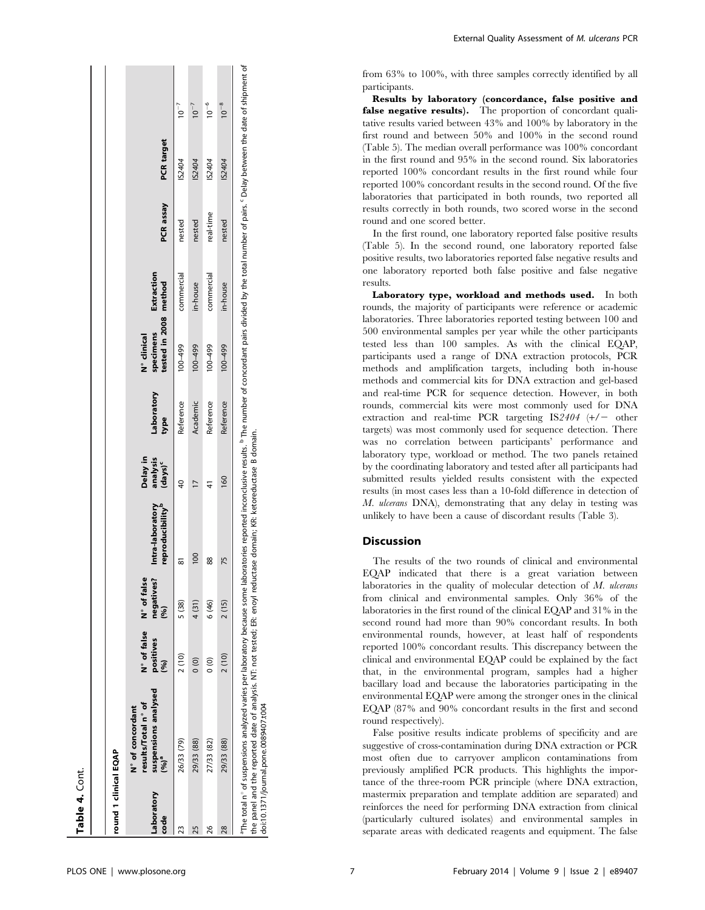| <b>Table 4.</b> Cont. |                                                                                                                                                                                                                                                    |                                  |                                            |                                                  |                                    |                    |                                                   |            |           |                   |           |
|-----------------------|----------------------------------------------------------------------------------------------------------------------------------------------------------------------------------------------------------------------------------------------------|----------------------------------|--------------------------------------------|--------------------------------------------------|------------------------------------|--------------------|---------------------------------------------------|------------|-----------|-------------------|-----------|
| round 1 clinical EQAP |                                                                                                                                                                                                                                                    |                                  |                                            |                                                  |                                    |                    |                                                   |            |           |                   |           |
| Laboratory<br>code    | suspensions analysed<br>results/Total n° of<br>N° of concordant<br>$(96)^{2}$                                                                                                                                                                      | N° of false<br>positives<br>(96) | N° of false<br>negatives.<br>$\mathcal{S}$ | reproducibility <sup>p</sup><br>Intra-laboratory | Delay in<br>analysis<br>$(days)^c$ | Laboratory<br>type | tested in 2008 method<br>specimens<br>N° clinical | Extraction | PCR assay | <b>PCR</b> target |           |
| ని                    | 26/33 (79)                                                                                                                                                                                                                                         | 2(10)                            | 5 (38)                                     | ౚ                                                | $\overline{6}$                     | Reference          | 100-499                                           | commercial | nested    | IS2404            | $10^{-7}$ |
| 25                    | 29/33 (88)                                                                                                                                                                                                                                         | $\frac{1}{2}$                    | 4 (31)                                     | $\frac{8}{1}$                                    |                                    | Academic           | 100-499                                           | in-house   | nested    | IS2404            | $10^{-7}$ |
| 26                    | 27/33 (82)                                                                                                                                                                                                                                         | $\frac{0}{0}$                    | 6 (46)                                     | 88                                               | 4                                  | Reference          | 100-499                                           | commercial | real-time | IS2404            | $10^{-6}$ |
| 28                    | 29/33 (88)                                                                                                                                                                                                                                         | 2(10)                            | 2(15)                                      | 52                                               | 160                                | Reference          | $66b - 001$                                       | in-house   | nested    | IS2404            | $10^{-8}$ |
|                       | <sup>a</sup> The total n° of suspensions analyzed varies per laboratory because some laborates reported inconclusive results. <sup>6</sup> The number of concordant pairs divided by the total number of pairs. S Delay between the date of shipme |                                  |                                            |                                                  |                                    |                    |                                                   |            |           |                   |           |

. anel and the reported date of analysis. NT: not tested; ER: enoyl reductase domain; KR: ketoreductase B domain<br>10.1371/journal.pone.0089407.t004<br>10.1371/journal.pone.0089407.t004 the panel and the reported date of analysis. NT: not tested; ER: enoyl reductase domain; KR: ketoreductase B domain. doi:10.1371/journal.pone.0089407.t004 te<br>19

External Quality Assessment of M. ulcerans PCR

from 63% to 100%, with three samples correctly identified by all participants.

Results by laboratory (concordance, false positive and false negative results). The proportion of concordant qualitative results varied between 43% and 100% by laboratory in the first round and between 50% and 100% in the second round (Table 5). The median overall performance was 100% concordant in the first round and 95% in the second round. Six laboratories reported 100% concordant results in the first round while four reported 100% concordant results in the second round. Of the five laboratories that participated in both rounds, two reported all results correctly in both rounds, two scored worse in the second round and one scored better.

In the first round, one laboratory reported false positive results (Table 5). In the second round, one laboratory reported false positive results, two laboratories reported false negative results and one laboratory reported both false positive and false negative results.

Laboratory type, workload and methods used. In both rounds, the majority of participants were reference or academic laboratories. Three laboratories reported testing between 100 and 500 environmental samples per year while the other participants tested less than 100 samples. As with the clinical EQAP, participants used a range of DNA extraction protocols, PCR methods and amplification targets, including both in-house methods and commercial kits for DNA extraction and gel-based and real-time PCR for sequence detection. However, in both rounds, commercial kits were most commonly used for DNA extraction and real-time PCR targeting  $IS2404$  (+/- other targets) was most commonly used for sequence detection. There was no correlation between participants' performance and laboratory type, workload or method. The two panels retained by the coordinating laboratory and tested after all participants had submitted results yielded results consistent with the expected results (in most cases less than a 10-fold difference in detection of M. ulcerans DNA), demonstrating that any delay in testing was unlikely to have been a cause of discordant results (Table 3).

## **Discussion**

The results of the two rounds of clinical and environmental EQAP indicated that there is a great variation between laboratories in the quality of molecular detection of  $M$ . ulcerans from clinical and environmental samples. Only 36% of the laboratories in the first round of the clinical EQAP and 31% in the second round had more than 90% concordant results. In both environmental rounds, however, at least half of respondents reported 100% concordant results. This discrepancy between the clinical and environmental EQAP could be explained by the fact that, in the environmental program, samples had a higher bacillary load and because the laboratories participating in the environmental EQAP were among the stronger ones in the clinical EQAP (87% and 90% concordant results in the first and second round respectively).

False positive results indicate problems of specificity and are suggestive of cross-contamination during DNA extraction or PCR most often due to carryover amplicon contaminations from previously amplified PCR products. This highlights the importance of the three-room PCR principle (where DNA extraction, mastermix preparation and template addition are separated) and reinforces the need for performing DNA extraction from clinical (particularly cultured isolates) and environmental samples in separate areas with dedicated reagents and equipment. The false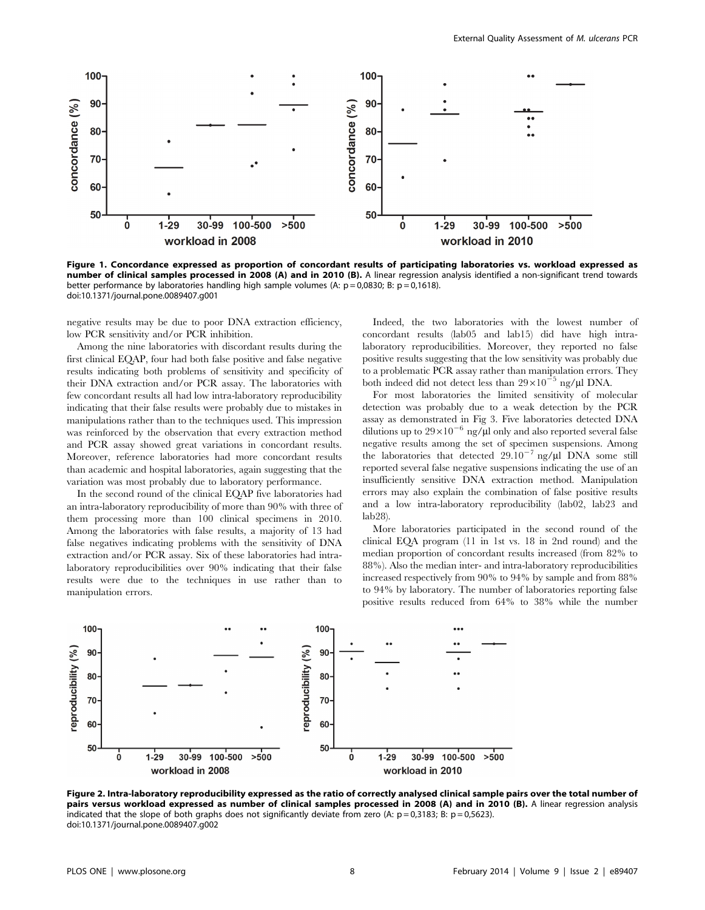

Figure 1. Concordance expressed as proportion of concordant results of participating laboratories vs. workload expressed as number of clinical samples processed in 2008 (A) and in 2010 (B). A linear regression analysis identified a non-significant trend towards better performance by laboratories handling high sample volumes (A:  $p = 0.0830$ ; B:  $p = 0.1618$ ). doi:10.1371/journal.pone.0089407.g001

negative results may be due to poor DNA extraction efficiency, low PCR sensitivity and/or PCR inhibition.

Among the nine laboratories with discordant results during the first clinical EQAP, four had both false positive and false negative results indicating both problems of sensitivity and specificity of their DNA extraction and/or PCR assay. The laboratories with few concordant results all had low intra-laboratory reproducibility indicating that their false results were probably due to mistakes in manipulations rather than to the techniques used. This impression was reinforced by the observation that every extraction method and PCR assay showed great variations in concordant results. Moreover, reference laboratories had more concordant results than academic and hospital laboratories, again suggesting that the variation was most probably due to laboratory performance.

In the second round of the clinical EQAP five laboratories had an intra-laboratory reproducibility of more than 90% with three of them processing more than 100 clinical specimens in 2010. Among the laboratories with false results, a majority of 13 had false negatives indicating problems with the sensitivity of DNA extraction and/or PCR assay. Six of these laboratories had intralaboratory reproducibilities over 90% indicating that their false results were due to the techniques in use rather than to manipulation errors.

Indeed, the two laboratories with the lowest number of concordant results (lab05 and lab15) did have high intralaboratory reproducibilities. Moreover, they reported no false positive results suggesting that the low sensitivity was probably due to a problematic PCR assay rather than manipulation errors. They both indeed did not detect less than  $29 \times 10^{-5}$  ng/ $\mu$ l DNA.

For most laboratories the limited sensitivity of molecular detection was probably due to a weak detection by the PCR assay as demonstrated in Fig 3. Five laboratories detected DNA dilutions up to  $29\times10^{-6}$  ng/ $\mu$ l only and also reported several false negative results among the set of specimen suspensions. Among the laboratories that detected  $29.10^{-7}$  ng/ $\mu$ l DNA some still reported several false negative suspensions indicating the use of an insufficiently sensitive DNA extraction method. Manipulation errors may also explain the combination of false positive results and a low intra-laboratory reproducibility (lab02, lab23 and lab28).

More laboratories participated in the second round of the clinical EQA program (11 in 1st vs. 18 in 2nd round) and the median proportion of concordant results increased (from 82% to 88%). Also the median inter- and intra-laboratory reproducibilities increased respectively from 90% to 94% by sample and from 88% to 94% by laboratory. The number of laboratories reporting false positive results reduced from 64% to 38% while the number



Figure 2. Intra-laboratory reproducibility expressed as the ratio of correctly analysed clinical sample pairs over the total number of pairs versus workload expressed as number of clinical samples processed in 2008 (A) and in 2010 (B). A linear regression analysis indicated that the slope of both graphs does not significantly deviate from zero (A:  $p = 0.3183$ ; B:  $p = 0.5623$ ). doi:10.1371/journal.pone.0089407.g002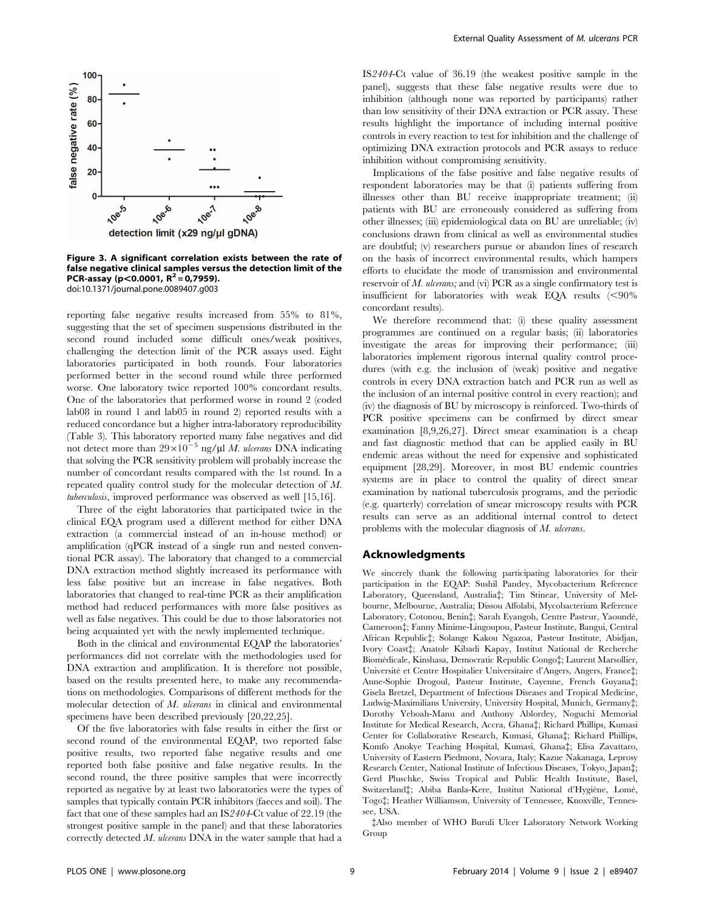

Figure 3. A significant correlation exists between the rate of false negative clinical samples versus the detection limit of the PCR-assay (p $<$ 0.0001, R<sup>2</sup> = 0,7959). doi:10.1371/journal.pone.0089407.g003

reporting false negative results increased from 55% to 81%, suggesting that the set of specimen suspensions distributed in the second round included some difficult ones/weak positives, challenging the detection limit of the PCR assays used. Eight laboratories participated in both rounds. Four laboratories performed better in the second round while three performed worse. One laboratory twice reported 100% concordant results. One of the laboratories that performed worse in round 2 (coded lab08 in round 1 and lab05 in round 2) reported results with a reduced concordance but a higher intra-laboratory reproducibility (Table 3). This laboratory reported many false negatives and did not detect more than  $29 \times 10^{-5}$  ng/ $\mu$ l *M. ulcerans* DNA indicating that solving the PCR sensitivity problem will probably increase the number of concordant results compared with the 1st round. In a repeated quality control study for the molecular detection of M. tuberculosis, improved performance was observed as well [15,16].

Three of the eight laboratories that participated twice in the clinical EQA program used a different method for either DNA extraction (a commercial instead of an in-house method) or amplification (qPCR instead of a single run and nested conventional PCR assay). The laboratory that changed to a commercial DNA extraction method slightly increased its performance with less false positive but an increase in false negatives. Both laboratories that changed to real-time PCR as their amplification method had reduced performances with more false positives as well as false negatives. This could be due to those laboratories not being acquainted yet with the newly implemented technique.

Both in the clinical and environmental EQAP the laboratories' performances did not correlate with the methodologies used for DNA extraction and amplification. It is therefore not possible, based on the results presented here, to make any recommendations on methodologies. Comparisons of different methods for the molecular detection of M. ulcerans in clinical and environmental specimens have been described previously [20,22,25].

Of the five laboratories with false results in either the first or second round of the environmental EQAP, two reported false positive results, two reported false negative results and one reported both false positive and false negative results. In the second round, the three positive samples that were incorrectly reported as negative by at least two laboratories were the types of samples that typically contain PCR inhibitors (faeces and soil). The fact that one of these samples had an IS2404-Ct value of 22.19 (the strongest positive sample in the panel) and that these laboratories correctly detected  $M$ . ulcerans DNA in the water sample that had a

IS2404-Ct value of 36.19 (the weakest positive sample in the panel), suggests that these false negative results were due to inhibition (although none was reported by participants) rather than low sensitivity of their DNA extraction or PCR assay. These results highlight the importance of including internal positive controls in every reaction to test for inhibition and the challenge of optimizing DNA extraction protocols and PCR assays to reduce inhibition without compromising sensitivity.

Implications of the false positive and false negative results of respondent laboratories may be that (i) patients suffering from illnesses other than BU receive inappropriate treatment; (ii) patients with BU are erroneously considered as suffering from other illnesses; (iii) epidemiological data on BU are unreliable; (iv) conclusions drawn from clinical as well as environmental studies are doubtful; (v) researchers pursue or abandon lines of research on the basis of incorrect environmental results, which hampers efforts to elucidate the mode of transmission and environmental reservoir of M. ulcerans; and (vi) PCR as a single confirmatory test is insufficient for laboratories with weak EQA results  $(< 90\%$ concordant results).

We therefore recommend that: (i) these quality assessment programmes are continued on a regular basis; (ii) laboratories investigate the areas for improving their performance; (iii) laboratories implement rigorous internal quality control procedures (with e.g. the inclusion of (weak) positive and negative controls in every DNA extraction batch and PCR run as well as the inclusion of an internal positive control in every reaction); and (iv) the diagnosis of BU by microscopy is reinforced. Two-thirds of PCR positive specimens can be confirmed by direct smear examination [8,9,26,27]. Direct smear examination is a cheap and fast diagnostic method that can be applied easily in BU endemic areas without the need for expensive and sophisticated equipment [28,29]. Moreover, in most BU endemic countries systems are in place to control the quality of direct smear examination by national tuberculosis programs, and the periodic (e.g. quarterly) correlation of smear microscopy results with PCR results can serve as an additional internal control to detect problems with the molecular diagnosis of M. ulcerans.

#### Acknowledgments

We sincerely thank the following participating laboratories for their participation in the EQAP: Sushil Pandey, Mycobacterium Reference Laboratory, Queensland, Australia<sup>†</sup>; Tim Stinear, University of Melbourne, Melbourne, Australia; Dissou Affolabi, Mycobacterium Reference Laboratory, Cotonou, Benin $\dagger$ ; Sarah Eyangoh, Centre Pasteur, Yaoundé, Cameroon{; Fanny Minime-Lingoupou, Pasteur Institute, Bangui, Central African Republic{; Solange Kakou Ngazoa, Pasteur Institute, Abidjan, Ivory Coast{; Anatole Kibadi Kapay, Institut National de Recherche Biomédicale, Kinshasa, Democratic Republic Congo‡; Laurent Marsollier, Université et Centre Hospitalier Universitaire d'Angers, Angers, France<sup>†</sup>; Anne-Sophie Drogoul, Pasteur Institute, Cayenne, French Guyana{; Gisela Bretzel, Department of Infectious Diseases and Tropical Medicine, Ludwig-Maximilians University, University Hospital, Munich, Germany{; Dorothy Yeboah-Manu and Anthony Ablordey, Noguchi Memorial Institute for Medical Research, Accra, Ghana{; Richard Phillips, Kumasi Center for Collaborative Research, Kumasi, Ghana<sup>†</sup>; Richard Phillips, Komfo Anokye Teaching Hospital, Kumasi, Ghana{; Elisa Zavattaro, University of Eastern Piedmont, Novara, Italy; Kazue Nakanaga, Leprosy Research Center, National Institute of Infectious Diseases, Tokyo, Japan{; Gerd Pluschke, Swiss Tropical and Public Health Institute, Basel, Switzerland‡; Abiba Banla-Kere, Institut National d'Hygiène, Lomé, Togo{; Heather Williamson, University of Tennessee, Knoxville, Tennessee, USA.

{Also member of WHO Buruli Ulcer Laboratory Network Working Group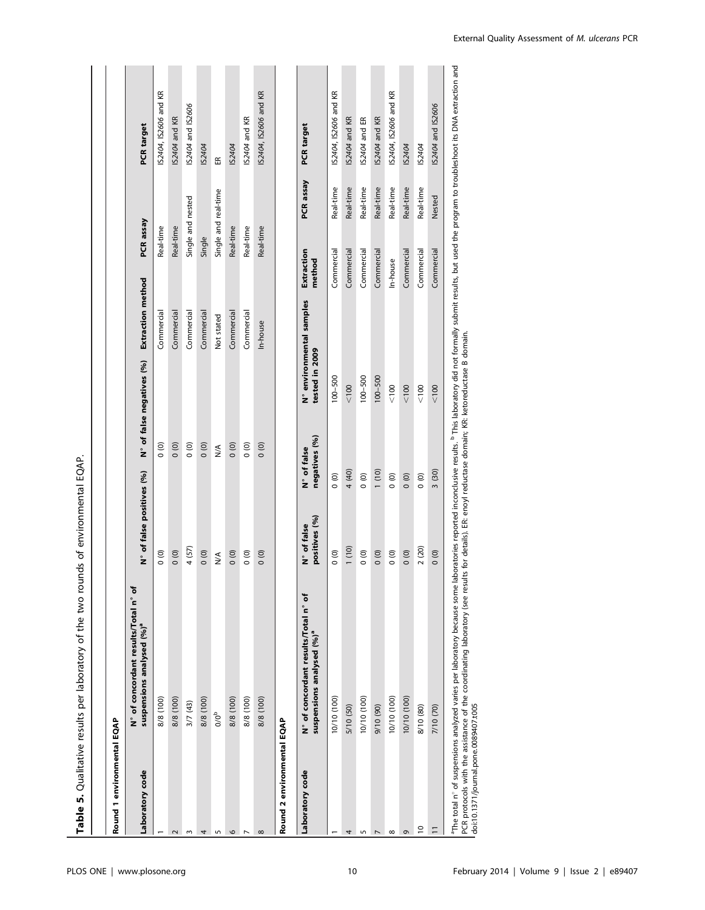|                            | Table 5. Qualitative results per laboratory of the two rounds of environmental EQAP. |                              |                                                |                          |                                   |                       |
|----------------------------|--------------------------------------------------------------------------------------|------------------------------|------------------------------------------------|--------------------------|-----------------------------------|-----------------------|
|                            |                                                                                      |                              |                                                |                          |                                   |                       |
| Round 1 environmental EQAP |                                                                                      |                              |                                                |                          |                                   |                       |
| Laboratory code            | N° of concordant results/Total n° of<br>suspensions analysed (%) <sup>ª</sup>        | N° of false positives (%)    | N° of false negatives (%)                      | Extraction method        | PCR assay                         | <b>PCR</b> target     |
|                            | 8/8 (100)                                                                            | $\overline{0}$               | $\circ$                                        | Commercial               | Real-time                         | IS2404, IS2606 and KR |
|                            | 8/8 (100)                                                                            | $\circ$                      | $\circ$                                        | Commercial               | Real-time                         | IS2404 and KR         |
|                            | 3/7(43)                                                                              | 4 (57)                       | $\overline{0}$                                 | Commercial               | Single and nested                 | IS2404 and IS2606     |
|                            | 8/8 (100)                                                                            | 0(0)                         | 0(0)                                           | Commercial               | Single                            | IS2404                |
|                            | $0/0^b$                                                                              | ⋚                            | $\frac{1}{2}$                                  | Not stated               | Single and real-time              | $\mathbb{E}$          |
|                            | 8/8 (100)                                                                            | 0(0)                         | 0(0)                                           | Commercial               | Real-time                         | IS2404                |
|                            | 8/8 (100)                                                                            | $\overline{0}$               | $\overline{0}$                                 | Commercial               | Real-time                         | IS2404 and KR         |
|                            | 8/8 (100)                                                                            | 000                          | 0(0)                                           | In-house                 | Real-time                         | IS2404, IS2606 and KR |
| Round 2 environmental EQAP |                                                                                      |                              |                                                |                          |                                   |                       |
| Laboratory code            | N° of concordant results/Total n° of<br>suspensions analysed (%) <sup>ª</sup>        | positives (%)<br>N° of false | tested in 2009<br>negatives (%)<br>N° of false | N° environmental samples | PCR assay<br>Extraction<br>method | <b>PCR</b> target     |
|                            | 10/10 (100)                                                                          | $\circ$<br>$\overline{0}$    | $100 - 500$                                    |                          | Real-time<br>Commercial           | IS2404, IS2606 and KR |
|                            | 5/10 (50)                                                                            | 4 (40)<br>1(10)              | < 100                                          |                          | Real-time<br>Commercial           | IS2404 and KR         |
|                            | 10/10 (100)                                                                          | $\circ$<br>$\circ$           | $100 - 500$                                    |                          | Real-time<br>Commercial           | IS2404 and ER         |
|                            | 9/10 (90)                                                                            | 1(10)<br>0(0)                | $100 - 500$                                    |                          | Real-time<br>Commercial           | IS2404 and KR         |
|                            | 10/10 (100)                                                                          | $\overline{0}$<br>$\circ$    | < 100                                          |                          | Real-time<br>In-house             | IS2404, IS2606 and KR |
|                            | 10/10 (100)                                                                          | $\circ$<br>$\circ$           | < 100                                          |                          | Real-time<br>Commercial           | IS2404                |
| $\overline{a}$             | 8/10 (80)                                                                            | $\overline{0}$<br>2(20)      | $<100$                                         |                          | Real-time<br>Commercial           | IS2404                |
|                            | 7/10 (70)                                                                            | 3 (30)<br>000                | $< 100$                                        |                          | Nested<br>Commercial              | IS2404 and IS2606     |

"The total n° of suspensions analyzed varies per laboratory because some laboratories reported inconclusive results. <sup>b</sup> This laboratory did not formally submit results, but used the program to troubleshoot its DNA extract The total n° of suspensions analyzed varies per laboratory because some laboratories reported inconclusive results. This laboratory did not formally submit results, but used the program to troubleshoot its DNA extraction a PCR protocols with the assistance of the coordinating laboratory (see results for details). ER: enoyl reductase domain; KR: ketoreductase B domain. doi:10.1371/journal.pone.0089407.t005

 $\overline{1}$ 

 $\blacksquare$